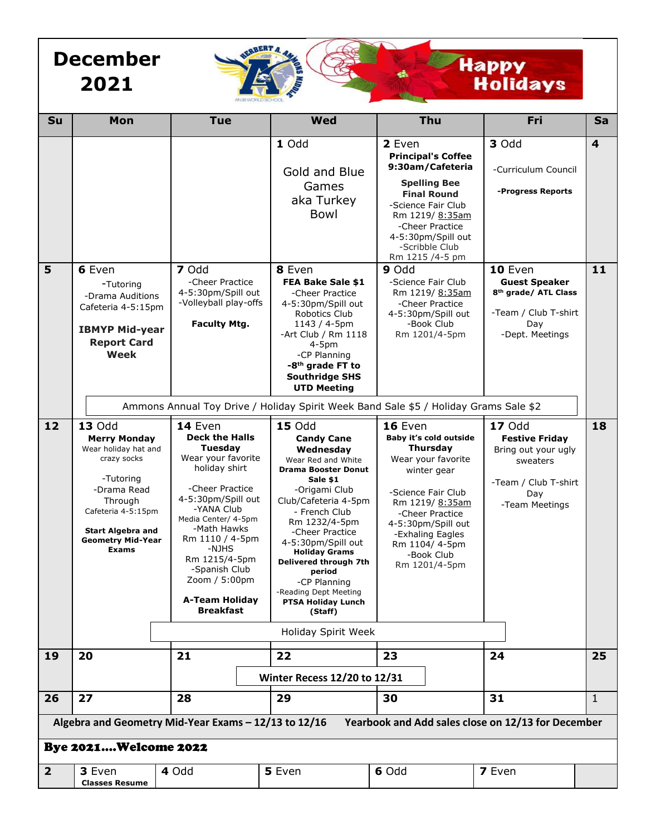## **December 2021**

# **Happy<br>Holidays**

| Su                                                                                                         | Mon                                                                                                                                                                                                              | <b>Tue</b>                                                                                                                                                                                                                                                                                                  | Wed                                                                                                                                                                                                                                                                                                                                                                                                    | Thu                                                                                                                                                                                                                                             | Fri                                                                                                                        | <b>Sa</b> |
|------------------------------------------------------------------------------------------------------------|------------------------------------------------------------------------------------------------------------------------------------------------------------------------------------------------------------------|-------------------------------------------------------------------------------------------------------------------------------------------------------------------------------------------------------------------------------------------------------------------------------------------------------------|--------------------------------------------------------------------------------------------------------------------------------------------------------------------------------------------------------------------------------------------------------------------------------------------------------------------------------------------------------------------------------------------------------|-------------------------------------------------------------------------------------------------------------------------------------------------------------------------------------------------------------------------------------------------|----------------------------------------------------------------------------------------------------------------------------|-----------|
|                                                                                                            |                                                                                                                                                                                                                  |                                                                                                                                                                                                                                                                                                             | 1 Odd<br>Gold and Blue<br>Games<br>aka Turkey<br>Bowl                                                                                                                                                                                                                                                                                                                                                  | 2 Even<br><b>Principal's Coffee</b><br>9:30am/Cafeteria<br><b>Spelling Bee</b><br><b>Final Round</b><br>-Science Fair Club<br>Rm 1219/ 8:35am<br>-Cheer Practice<br>4-5:30pm/Spill out<br>-Scribble Club<br>Rm 1215 /4-5 pm                     | 3 Odd<br>-Curriculum Council<br>-Progress Reports                                                                          | 4         |
| 5                                                                                                          | 6 Even<br>-Tutoring<br>-Drama Auditions<br>Cafeteria 4-5:15pm<br><b>IBMYP Mid-year</b><br><b>Report Card</b><br><b>Week</b>                                                                                      | 7 Odd<br>-Cheer Practice<br>4-5:30pm/Spill out<br>-Volleyball play-offs<br><b>Faculty Mtg.</b>                                                                                                                                                                                                              | 8 Even<br>FEA Bake Sale \$1<br>-Cheer Practice<br>4-5:30pm/Spill out<br>Robotics Club<br>1143 / 4-5pm<br>-Art Club / Rm 1118<br>$4-5pm$<br>-CP Planning<br>-8 <sup>th</sup> grade FT to<br><b>Southridge SHS</b><br><b>UTD Meeting</b><br>Ammons Annual Toy Drive / Holiday Spirit Week Band Sale \$5 / Holiday Grams Sale \$2                                                                         | $9$ Odd<br>-Science Fair Club<br>Rm 1219/ 8:35am<br>-Cheer Practice<br>4-5:30pm/Spill out<br>-Book Club<br>Rm 1201/4-5pm                                                                                                                        | 10 Even<br><b>Guest Speaker</b><br>8 <sup>th</sup> grade/ ATL Class<br>-Team / Club T-shirt<br>Day<br>-Dept. Meetings      | 11        |
| 12                                                                                                         | <b>13 Odd</b><br><b>Merry Monday</b><br>Wear holiday hat and<br>crazy socks<br>-Tutoring<br>-Drama Read<br>Through<br>Cafeteria 4-5:15pm<br><b>Start Algebra and</b><br><b>Geometry Mid-Year</b><br><b>Exams</b> | 14 Even<br><b>Deck the Halls</b><br>Tuesday<br>Wear your favorite<br>holiday shirt<br>-Cheer Practice<br>4-5:30pm/Spill out<br>-YANA Club<br>Media Center/ 4-5pm<br>-Math Hawks<br>Rm 1110 / 4-5pm<br>-NJHS<br>Rm 1215/4-5pm<br>-Spanish Club<br>Zoom / 5:00pm<br><b>A-Team Holiday</b><br><b>Breakfast</b> | <b>15 Odd</b><br><b>Candy Cane</b><br>Wednesday<br>Wear Red and White<br><b>Drama Booster Donut</b><br>Sale \$1<br>-Origami Club<br>Club/Cafeteria 4-5pm<br>- French Club<br>Rm 1232/4-5pm<br>-Cheer Practice<br>4-5:30pm/Spill out<br><b>Holiday Grams</b><br>Delivered through 7th<br>period<br>-CP Planning<br>-Reading Dept Meeting<br><b>PTSA Holiday Lunch</b><br>(Staff)<br>Holiday Spirit Week | 16 Even<br>Baby it's cold outside<br><b>Thursday</b><br>Wear your favorite<br>winter gear<br>-Science Fair Club<br>Rm 1219/ 8:35am<br>-Cheer Practice<br>4-5:30pm/Spill out<br>-Exhaling Eagles<br>Rm 1104/4-5pm<br>-Book Club<br>Rm 1201/4-5pm | <b>17 Odd</b><br><b>Festive Friday</b><br>Bring out your ugly<br>sweaters<br>-Team / Club T-shirt<br>Day<br>-Team Meetings | 18        |
| 19                                                                                                         | 20                                                                                                                                                                                                               | 21                                                                                                                                                                                                                                                                                                          | 22                                                                                                                                                                                                                                                                                                                                                                                                     | 23                                                                                                                                                                                                                                              | 24                                                                                                                         | 25        |
|                                                                                                            |                                                                                                                                                                                                                  |                                                                                                                                                                                                                                                                                                             | <b>Winter Recess 12/20 to 12/31</b>                                                                                                                                                                                                                                                                                                                                                                    |                                                                                                                                                                                                                                                 |                                                                                                                            |           |
| 26                                                                                                         | 27                                                                                                                                                                                                               | 28                                                                                                                                                                                                                                                                                                          | 29                                                                                                                                                                                                                                                                                                                                                                                                     | 30                                                                                                                                                                                                                                              | 31                                                                                                                         | 1         |
| Algebra and Geometry Mid-Year Exams - 12/13 to 12/16<br>Yearbook and Add sales close on 12/13 for December |                                                                                                                                                                                                                  |                                                                                                                                                                                                                                                                                                             |                                                                                                                                                                                                                                                                                                                                                                                                        |                                                                                                                                                                                                                                                 |                                                                                                                            |           |
| <b>Bye 2021Welcome 2022</b>                                                                                |                                                                                                                                                                                                                  |                                                                                                                                                                                                                                                                                                             |                                                                                                                                                                                                                                                                                                                                                                                                        |                                                                                                                                                                                                                                                 |                                                                                                                            |           |
| $\mathbf{2}$                                                                                               | 3 Even<br><b>Classes Resume</b>                                                                                                                                                                                  | 4 Odd                                                                                                                                                                                                                                                                                                       | 5 Even                                                                                                                                                                                                                                                                                                                                                                                                 | 6 Odd                                                                                                                                                                                                                                           | 7 Even                                                                                                                     |           |

WEBBERT A. AMAR